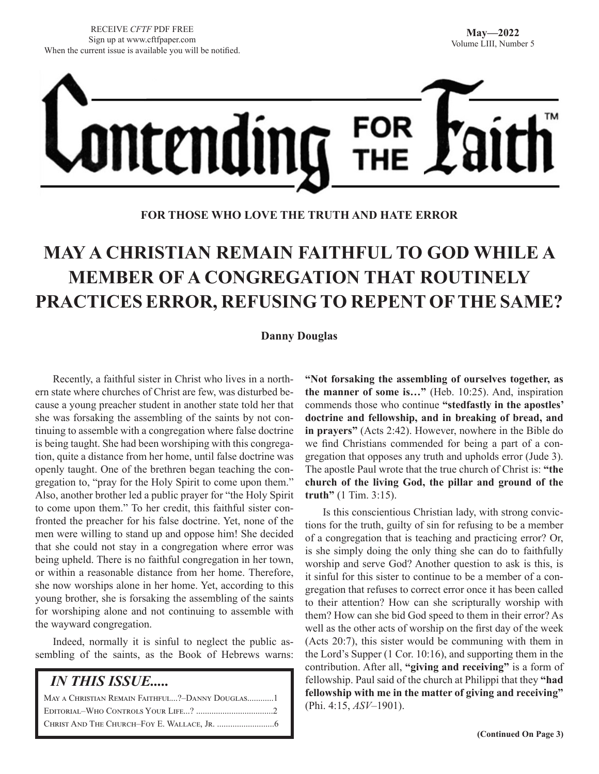

**FOR THOSE WHO LOVE THE TRUTH AND HATE ERROR**

# **MAY A CHRISTIAN REMAIN FAITHFUL TO GOD WHILE A MEMBER OF A CONGREGATION THAT ROUTINELY PRACTICES ERROR, REFUSING TO REPENT OF THE SAME?**

#### **Danny Douglas**

Recently, a faithful sister in Christ who lives in a northern state where churches of Christ are few, was disturbed because a young preacher student in another state told her that she was forsaking the assembling of the saints by not continuing to assemble with a congregation where false doctrine is being taught. She had been worshiping with this congregation, quite a distance from her home, until false doctrine was openly taught. One of the brethren began teaching the congregation to, "pray for the Holy Spirit to come upon them." Also, another brother led a public prayer for "the Holy Spirit to come upon them." To her credit, this faithful sister confronted the preacher for his false doctrine. Yet, none of the men were willing to stand up and oppose him! She decided that she could not stay in a congregation where error was being upheld. There is no faithful congregation in her town, or within a reasonable distance from her home. Therefore, she now worships alone in her home. Yet, according to this young brother, she is forsaking the assembling of the saints for worshiping alone and not continuing to assemble with the wayward congregation.

Indeed, normally it is sinful to neglect the public assembling of the saints, as the Book of Hebrews warns:

| <i><b>IN THIS ISSUE</b></i>                     |
|-------------------------------------------------|
| MAY A CHRISTIAN REMAIN FAITHFUL?-DANNY DOUGLAS1 |
|                                                 |
|                                                 |

**"Not forsaking the assembling of ourselves together, as the manner of some is…"** (Heb. 10:25). And, inspiration commends those who continue **"stedfastly in the apostles' doctrine and fellowship, and in breaking of bread, and in prayers"** (Acts 2:42). However, nowhere in the Bible do we find Christians commended for being a part of a congregation that opposes any truth and upholds error (Jude 3). The apostle Paul wrote that the true church of Christ is: **"the church of the living God, the pillar and ground of the truth"** (1 Tim. 3:15).

Is this conscientious Christian lady, with strong convictions for the truth, guilty of sin for refusing to be a member of a congregation that is teaching and practicing error? Or, is she simply doing the only thing she can do to faithfully worship and serve God? Another question to ask is this, is it sinful for this sister to continue to be a member of a congregation that refuses to correct error once it has been called to their attention? How can she scripturally worship with them? How can she bid God speed to them in their error? As well as the other acts of worship on the first day of the week (Acts 20:7), this sister would be communing with them in the Lord's Supper (1 Cor. 10:16), and supporting them in the contribution. After all, **"giving and receiving"** is a form of fellowship. Paul said of the church at Philippi that they **"had fellowship with me in the matter of giving and receiving"**  (Phi. 4:15, *ASV*–1901).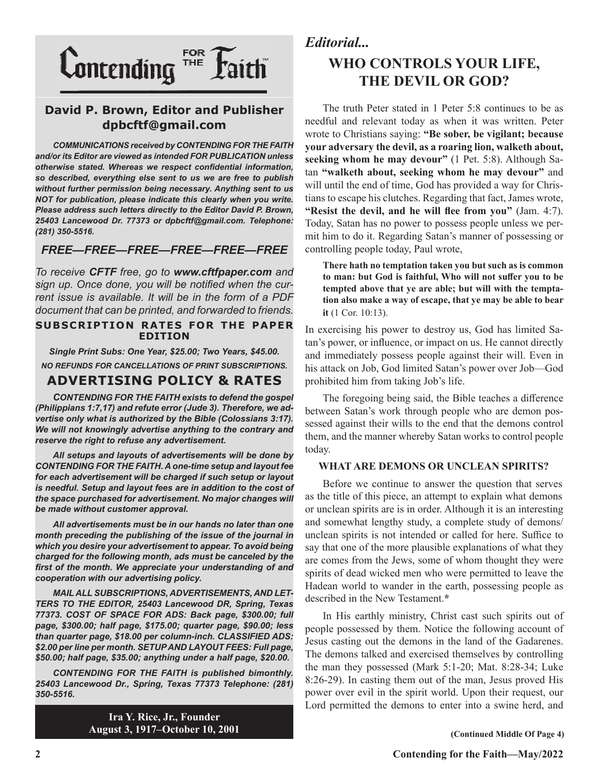

### **David P. Brown, Editor and Publisher dpbcftf@gmail.com**

*COMMUNICATIONS received by CONTENDING FOR THE FAITH and/or its Editor are viewed as intended FOR PUBLICATION unless otherwise stated. Whereas we respect confidential information, so described, everything else sent to us we are free to publish without further permission being necessary. Anything sent to us NOT for publication, please indicate this clearly when you write. Please address such letters directly to the Editor David P. Brown, 25403 Lancewood Dr. 77373 or dpbcftf@gmail.com. Telephone: (281) 350-5516.*

### *FREE—FREE—FREE—FREE—FREE—FREE*

*To receive CFTF free, go to www.cftfpaper.com and sign up. Once done, you will be notified when the current issue is available. It will be in the form of a PDF document that can be printed, and forwarded to friends.*

#### **SUBSCRIPTION RATES FOR THE PAPER EDITION**

*Single Print Subs: One Year, \$25.00; Two Years, \$45.00. NO REFUNDS FOR CANCELLATIONS OF PRINT SUBSCRIPTIONS.*

## **ADVERTISING POLICY & RATES**

*CONTENDING FOR THE FAITH exists to defend the gospel (Philippians 1:7,17) and refute error (Jude 3). Therefore, we advertise only what is authorized by the Bible (Colossians 3:17). We will not knowingly advertise anything to the contrary and reserve the right to refuse any advertisement.*

*All setups and layouts of advertisements will be done by CONTENDING FOR THE FAITH. A one-time setup and layout fee for each advertisement will be charged if such setup or layout*  is needful. Setup and layout fees are in addition to the cost of *the space purchased for advertisement. No major changes will be made without customer approval.*

*All advertisements must be in our hands no later than one month preceding the publishing of the issue of the journal in which you desire your advertisement to appear. To avoid being charged for the following month, ads must be canceled by the first of the month. We appreciate your understanding of and cooperation with our advertising policy.*

*MAIL ALL SUBSCRIPTIONS, ADVERTISEMENTS, AND LET-TERS TO THE EDITOR, 25403 Lancewood DR, Spring, Texas 77373. COST OF SPACE FOR ADS: Back page, \$300.00; full page, \$300.00; half page, \$175.00; quarter page, \$90.00; less than quarter page, \$18.00 per column-inch. CLASSIFIED ADS: \$2.00 per line per month. SETUP AND LAYOUT FEES: Full page, \$50.00; half page, \$35.00; anything under a half page, \$20.00.*

*CONTENDING FOR THE FAITH is published bimonthly. 25403 Lancewood Dr., Spring, Texas 77373 Telephone: (281) 350-5516.*

> **Ira Y. Rice, Jr., Founder August 3, 1917–October 10, 2001**

# *Editorial...*

# **WHO CONTROLS YOUR LIFE, THE DEVIL OR GOD?**

The truth Peter stated in 1 Peter 5:8 continues to be as needful and relevant today as when it was written. Peter wrote to Christians saying: **"Be sober, be vigilant; because your adversary the devil, as a roaring lion, walketh about, seeking whom he may devour"** (1 Pet. 5:8). Although Satan **"walketh about, seeking whom he may devour"** and will until the end of time, God has provided a way for Christians to escape his clutches. Regarding that fact, James wrote, **"Resist the devil, and he will flee from you"** (Jam. 4:7). Today, Satan has no power to possess people unless we permit him to do it. Regarding Satan's manner of possessing or controlling people today, Paul wrote,

**There hath no temptation taken you but such as is common to man: but God is faithful, Who will not suffer you to be tempted above that ye are able; but will with the temptation also make a way of escape, that ye may be able to bear it** (1 Cor. 10:13).

In exercising his power to destroy us, God has limited Satan's power, or influence, or impact on us. He cannot directly and immediately possess people against their will. Even in his attack on Job, God limited Satan's power over Job—God prohibited him from taking Job's life.

The foregoing being said, the Bible teaches a difference between Satan's work through people who are demon possessed against their wills to the end that the demons control them, and the manner whereby Satan works to control people today.

#### **WHAT ARE DEMONS OR UNCLEAN SPIRITS?**

Before we continue to answer the question that serves as the title of this piece, an attempt to explain what demons or unclean spirits are is in order. Although it is an interesting and somewhat lengthy study, a complete study of demons/ unclean spirits is not intended or called for here. Suffice to say that one of the more plausible explanations of what they are comes from the Jews, some of whom thought they were spirits of dead wicked men who were permitted to leave the Hadean world to wander in the earth, possessing people as described in the New Testament.**\***

In His earthly ministry, Christ cast such spirits out of people possessed by them. Notice the following account of Jesus casting out the demons in the land of the Gadarenes. The demons talked and exercised themselves by controlling the man they possessed (Mark 5:1-20; Mat. 8:28-34; Luke 8:26-29). In casting them out of the man, Jesus proved His power over evil in the spirit world. Upon their request, our Lord permitted the demons to enter into a swine herd, and

**(Continued Middle Of Page 4)**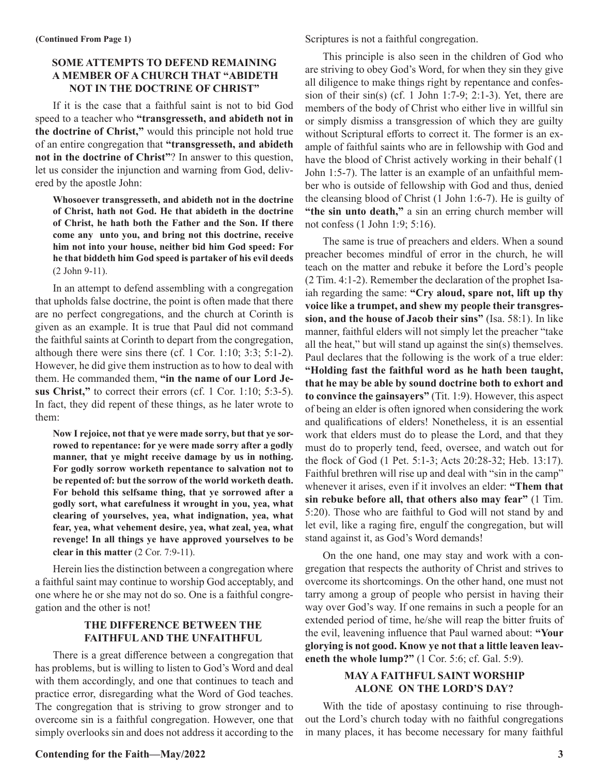#### **SOME ATTEMPTS TO DEFEND REMAINING A MEMBER OF A CHURCH THAT "ABIDETH NOT IN THE DOCTRINE OF CHRIST"**

If it is the case that a faithful saint is not to bid God speed to a teacher who **"transgresseth, and abideth not in the doctrine of Christ,"** would this principle not hold true of an entire congregation that **"transgresseth, and abideth not in the doctrine of Christ"**? In answer to this question, let us consider the injunction and warning from God, delivered by the apostle John:

**Whosoever transgresseth, and abideth not in the doctrine of Christ, hath not God. He that abideth in the doctrine of Christ, he hath both the Father and the Son. If there come any unto you, and bring not this doctrine, receive him not into your house, neither bid him God speed: For he that biddeth him God speed is partaker of his evil deeds** (2 John 9-11).

In an attempt to defend assembling with a congregation that upholds false doctrine, the point is often made that there are no perfect congregations, and the church at Corinth is given as an example. It is true that Paul did not command the faithful saints at Corinth to depart from the congregation, although there were sins there (cf. 1 Cor. 1:10; 3:3; 5:1-2). However, he did give them instruction as to how to deal with them. He commanded them, **"in the name of our Lord Jesus Christ,"** to correct their errors (cf. 1 Cor. 1:10; 5:3-5). In fact, they did repent of these things, as he later wrote to them:

**Now I rejoice, not that ye were made sorry, but that ye sorrowed to repentance: for ye were made sorry after a godly manner, that ye might receive damage by us in nothing. For godly sorrow worketh repentance to salvation not to be repented of: but the sorrow of the world worketh death. For behold this selfsame thing, that ye sorrowed after a godly sort, what carefulness it wrought in you, yea, what clearing of yourselves, yea, what indignation, yea, what fear, yea, what vehement desire, yea, what zeal, yea, what revenge! In all things ye have approved yourselves to be clear in this matter** (2 Cor. 7:9-11).

Herein lies the distinction between a congregation where a faithful saint may continue to worship God acceptably, and one where he or she may not do so. One is a faithful congregation and the other is not!

#### **THE DIFFERENCE BETWEEN THE FAITHFUL AND THE UNFAITHFUL**

There is a great difference between a congregation that has problems, but is willing to listen to God's Word and deal with them accordingly, and one that continues to teach and practice error, disregarding what the Word of God teaches. The congregation that is striving to grow stronger and to overcome sin is a faithful congregation. However, one that simply overlooks sin and does not address it according to the

Scriptures is not a faithful congregation.

This principle is also seen in the children of God who are striving to obey God's Word, for when they sin they give all diligence to make things right by repentance and confession of their sin(s) (cf. 1 John 1:7-9; 2:1-3). Yet, there are members of the body of Christ who either live in willful sin or simply dismiss a transgression of which they are guilty without Scriptural efforts to correct it. The former is an example of faithful saints who are in fellowship with God and have the blood of Christ actively working in their behalf (1 John 1:5-7). The latter is an example of an unfaithful member who is outside of fellowship with God and thus, denied the cleansing blood of Christ (1 John 1:6-7). He is guilty of **"the sin unto death,"** a sin an erring church member will not confess (1 John 1:9; 5:16).

The same is true of preachers and elders. When a sound preacher becomes mindful of error in the church, he will teach on the matter and rebuke it before the Lord's people (2 Tim. 4:1-2). Remember the declaration of the prophet Isaiah regarding the same: **"Cry aloud, spare not, lift up thy voice like a trumpet, and shew my people their transgression, and the house of Jacob their sins"** (Isa. 58:1). In like manner, faithful elders will not simply let the preacher "take all the heat," but will stand up against the sin(s) themselves. Paul declares that the following is the work of a true elder: **"Holding fast the faithful word as he hath been taught, that he may be able by sound doctrine both to exhort and to convince the gainsayers"** (Tit. 1:9). However, this aspect of being an elder is often ignored when considering the work and qualifications of elders! Nonetheless, it is an essential work that elders must do to please the Lord, and that they must do to properly tend, feed, oversee, and watch out for the flock of God (1 Pet. 5:1-3; Acts 20:28-32; Heb. 13:17). Faithful brethren will rise up and deal with "sin in the camp" whenever it arises, even if it involves an elder: **"Them that sin rebuke before all, that others also may fear"** (1 Tim. 5:20). Those who are faithful to God will not stand by and let evil, like a raging fire, engulf the congregation, but will stand against it, as God's Word demands!

On the one hand, one may stay and work with a congregation that respects the authority of Christ and strives to overcome its shortcomings. On the other hand, one must not tarry among a group of people who persist in having their way over God's way. If one remains in such a people for an extended period of time, he/she will reap the bitter fruits of the evil, leavening influence that Paul warned about: **"Your glorying is not good. Know ye not that a little leaven leaveneth the whole lump?"** (1 Cor. 5:6; cf. Gal. 5:9).

#### **MAY A FAITHFUL SAINT WORSHIP ALONE ON THE LORD'S DAY?**

With the tide of apostasy continuing to rise throughout the Lord's church today with no faithful congregations in many places, it has become necessary for many faithful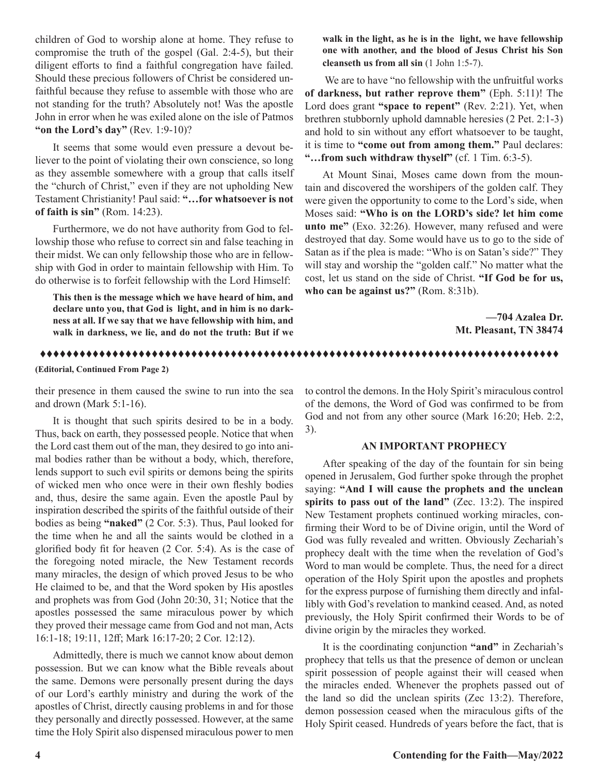children of God to worship alone at home. They refuse to compromise the truth of the gospel (Gal. 2:4-5), but their diligent efforts to find a faithful congregation have failed. Should these precious followers of Christ be considered unfaithful because they refuse to assemble with those who are not standing for the truth? Absolutely not! Was the apostle John in error when he was exiled alone on the isle of Patmos **"on the Lord's day"** (Rev. 1:9-10)?

It seems that some would even pressure a devout believer to the point of violating their own conscience, so long as they assemble somewhere with a group that calls itself the "church of Christ," even if they are not upholding New Testament Christianity! Paul said: **"…for whatsoever is not of faith is sin"** (Rom. 14:23).

Furthermore, we do not have authority from God to fellowship those who refuse to correct sin and false teaching in their midst. We can only fellowship those who are in fellowship with God in order to maintain fellowship with Him. To do otherwise is to forfeit fellowship with the Lord Himself:

**This then is the message which we have heard of him, and declare unto you, that God is light, and in him is no darkness at all. If we say that we have fellowship with him, and walk in darkness, we lie, and do not the truth: But if we**  **walk in the light, as he is in the light, we have fellowship one with another, and the blood of Jesus Christ his Son cleanseth us from all sin** (1 John 1:5-7).

 We are to have "no fellowship with the unfruitful works **of darkness, but rather reprove them"** (Eph. 5:11)! The Lord does grant **"space to repent"** (Rev. 2:21). Yet, when brethren stubbornly uphold damnable heresies (2 Pet. 2:1-3) and hold to sin without any effort whatsoever to be taught, it is time to **"come out from among them."** Paul declares: **"…from such withdraw thyself"** (cf. 1 Tim. 6:3-5).

At Mount Sinai, Moses came down from the mountain and discovered the worshipers of the golden calf. They were given the opportunity to come to the Lord's side, when Moses said: **"Who is on the LORD's side? let him come unto me"** (Exo. 32:26). However, many refused and were destroyed that day. Some would have us to go to the side of Satan as if the plea is made: "Who is on Satan's side?" They will stay and worship the "golden calf." No matter what the cost, let us stand on the side of Christ. **"If God be for us, who can be against us?"** (Rom. 8:31b).

> **—704 Azalea Dr. Mt. Pleasant, TN 38474**

ttttttttttttttttttttttttttttttttttttttttttttttttttttttttttttttttttttttttttttttt

**(Editorial, Continued From Page 2)**

their presence in them caused the swine to run into the sea and drown (Mark 5:1-16).

It is thought that such spirits desired to be in a body. Thus, back on earth, they possessed people. Notice that when the Lord cast them out of the man, they desired to go into animal bodies rather than be without a body, which, therefore, lends support to such evil spirits or demons being the spirits of wicked men who once were in their own fleshly bodies and, thus, desire the same again. Even the apostle Paul by inspiration described the spirits of the faithful outside of their bodies as being **"naked"** (2 Cor. 5:3). Thus, Paul looked for the time when he and all the saints would be clothed in a glorified body fit for heaven (2 Cor. 5:4). As is the case of the foregoing noted miracle, the New Testament records many miracles, the design of which proved Jesus to be who He claimed to be, and that the Word spoken by His apostles and prophets was from God (John 20:30, 31; Notice that the apostles possessed the same miraculous power by which they proved their message came from God and not man, Acts 16:1-18; 19:11, 12ff; Mark 16:17-20; 2 Cor. 12:12).

Admittedly, there is much we cannot know about demon possession. But we can know what the Bible reveals about the same. Demons were personally present during the days of our Lord's earthly ministry and during the work of the apostles of Christ, directly causing problems in and for those they personally and directly possessed. However, at the same time the Holy Spirit also dispensed miraculous power to men

to control the demons. In the Holy Spirit's miraculous control of the demons, the Word of God was confirmed to be from God and not from any other source (Mark 16:20; Heb. 2:2, 3).

#### **AN IMPORTANT PROPHECY**

After speaking of the day of the fountain for sin being opened in Jerusalem, God further spoke through the prophet saying: **"And I will cause the prophets and the unclean spirits to pass out of the land"** (Zec. 13:2). The inspired New Testament prophets continued working miracles, confirming their Word to be of Divine origin, until the Word of God was fully revealed and written. Obviously Zechariah's prophecy dealt with the time when the revelation of God's Word to man would be complete. Thus, the need for a direct operation of the Holy Spirit upon the apostles and prophets for the express purpose of furnishing them directly and infallibly with God's revelation to mankind ceased. And, as noted previously, the Holy Spirit confirmed their Words to be of divine origin by the miracles they worked.

It is the coordinating conjunction **"and"** in Zechariah's prophecy that tells us that the presence of demon or unclean spirit possession of people against their will ceased when the miracles ended. Whenever the prophets passed out of the land so did the unclean spirits (Zec 13:2). Therefore, demon possession ceased when the miraculous gifts of the Holy Spirit ceased. Hundreds of years before the fact, that is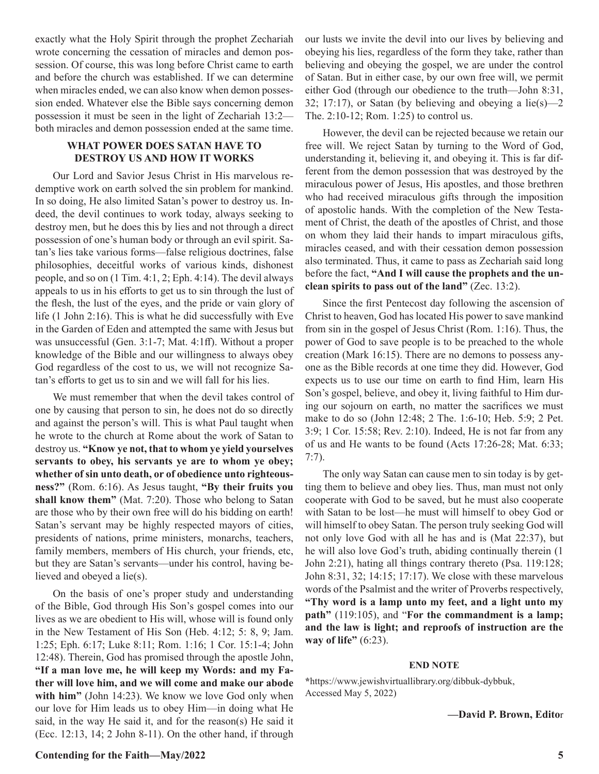exactly what the Holy Spirit through the prophet Zechariah wrote concerning the cessation of miracles and demon possession. Of course, this was long before Christ came to earth and before the church was established. If we can determine when miracles ended, we can also know when demon possession ended. Whatever else the Bible says concerning demon possession it must be seen in the light of Zechariah 13:2 both miracles and demon possession ended at the same time.

#### **WHAT POWER DOES SATAN HAVE TO DESTROY US AND HOW IT WORKS**

Our Lord and Savior Jesus Christ in His marvelous redemptive work on earth solved the sin problem for mankind. In so doing, He also limited Satan's power to destroy us. Indeed, the devil continues to work today, always seeking to destroy men, but he does this by lies and not through a direct possession of one's human body or through an evil spirit. Satan's lies take various forms—false religious doctrines, false philosophies, deceitful works of various kinds, dishonest people, and so on (1 Tim. 4:1, 2; Eph. 4:14). The devil always appeals to us in his efforts to get us to sin through the lust of the flesh, the lust of the eyes, and the pride or vain glory of life (1 John 2:16). This is what he did successfully with Eve in the Garden of Eden and attempted the same with Jesus but was unsuccessful (Gen. 3:1-7; Mat. 4:1ff). Without a proper knowledge of the Bible and our willingness to always obey God regardless of the cost to us, we will not recognize Satan's efforts to get us to sin and we will fall for his lies.

We must remember that when the devil takes control of one by causing that person to sin, he does not do so directly and against the person's will. This is what Paul taught when he wrote to the church at Rome about the work of Satan to destroy us. **"Know ye not, that to whom ye yield yourselves servants to obey, his servants ye are to whom ye obey; whether of sin unto death, or of obedience unto righteousness?"** (Rom. 6:16). As Jesus taught, **"By their fruits you shall know them"** (Mat. 7:20). Those who belong to Satan are those who by their own free will do his bidding on earth! Satan's servant may be highly respected mayors of cities, presidents of nations, prime ministers, monarchs, teachers, family members, members of His church, your friends, etc, but they are Satan's servants—under his control, having believed and obeyed a lie(s).

On the basis of one's proper study and understanding of the Bible, God through His Son's gospel comes into our lives as we are obedient to His will, whose will is found only in the New Testament of His Son (Heb. 4:12; 5: 8, 9; Jam. 1:25; Eph. 6:17; Luke 8:11; Rom. 1:16; 1 Cor. 15:1-4; John 12:48). Therein, God has promised through the apostle John, **"If a man love me, he will keep my Words: and my Father will love him, and we will come and make our abode with him"** (John 14:23). We know we love God only when our love for Him leads us to obey Him—in doing what He said, in the way He said it, and for the reason(s) He said it (Ecc. 12:13, 14; 2 John 8-11). On the other hand, if through

our lusts we invite the devil into our lives by believing and obeying his lies, regardless of the form they take, rather than believing and obeying the gospel, we are under the control of Satan. But in either case, by our own free will, we permit either God (through our obedience to the truth—John 8:31, 32; 17:17), or Satan (by believing and obeying a lie(s)—2 The. 2:10-12; Rom. 1:25) to control us.

However, the devil can be rejected because we retain our free will. We reject Satan by turning to the Word of God, understanding it, believing it, and obeying it. This is far different from the demon possession that was destroyed by the miraculous power of Jesus, His apostles, and those brethren who had received miraculous gifts through the imposition of apostolic hands. With the completion of the New Testament of Christ, the death of the apostles of Christ, and those on whom they laid their hands to impart miraculous gifts, miracles ceased, and with their cessation demon possession also terminated. Thus, it came to pass as Zechariah said long before the fact, **"And I will cause the prophets and the unclean spirits to pass out of the land"** (Zec. 13:2).

Since the first Pentecost day following the ascension of Christ to heaven, God has located His power to save mankind from sin in the gospel of Jesus Christ (Rom. 1:16). Thus, the power of God to save people is to be preached to the whole creation (Mark 16:15). There are no demons to possess anyone as the Bible records at one time they did. However, God expects us to use our time on earth to find Him, learn His Son's gospel, believe, and obey it, living faithful to Him during our sojourn on earth, no matter the sacrifices we must make to do so (John 12:48; 2 The. 1:6-10; Heb. 5:9; 2 Pet. 3:9; 1 Cor. 15:58; Rev. 2:10). Indeed, He is not far from any of us and He wants to be found (Acts 17:26-28; Mat. 6:33; 7:7).

The only way Satan can cause men to sin today is by getting them to believe and obey lies. Thus, man must not only cooperate with God to be saved, but he must also cooperate with Satan to be lost—he must will himself to obey God or will himself to obey Satan. The person truly seeking God will not only love God with all he has and is (Mat 22:37), but he will also love God's truth, abiding continually therein (1 John 2:21), hating all things contrary thereto (Psa. 119:128; John 8:31, 32; 14:15; 17:17). We close with these marvelous words of the Psalmist and the writer of Proverbs respectively, **"Thy word is a lamp unto my feet, and a light unto my path"** (119:105), and "**For the commandment is a lamp; and the law is light; and reproofs of instruction are the way of life"** (6:23).

#### **END NOTE**

**\***https://www.jewishvirtuallibrary.org/dibbuk-dybbuk, Accessed May 5, 2022)

#### **—David P. Brown, Edito**r

#### **Contending for the Faith—May/2022 5**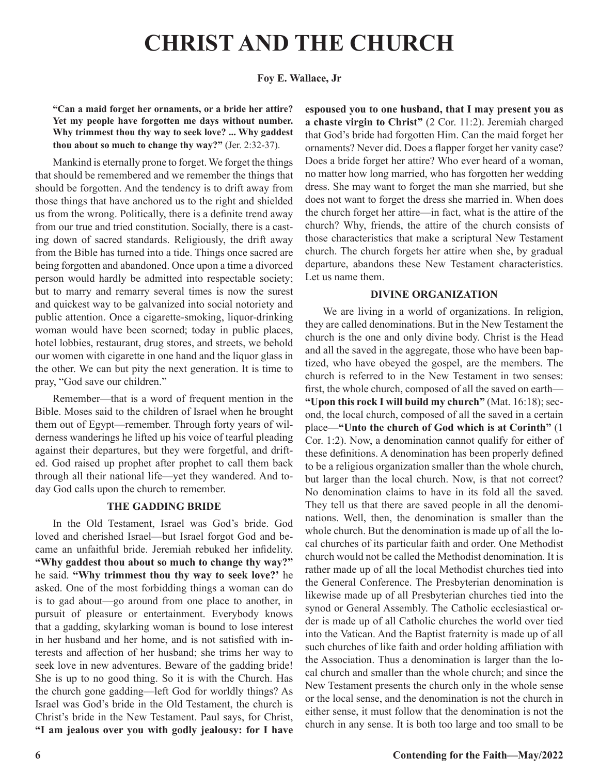# **CHRIST AND THE CHURCH**

#### **Foy E. Wallace, Jr**

**"Can a maid forget her ornaments, or a bride her attire? Yet my people have forgotten me days without number. Why trimmest thou thy way to seek love? ... Why gaddest thou about so much to change thy way?"** (Jer. 2:32-37).

Mankind is eternally prone to forget. We forget the things that should be remembered and we remember the things that should be forgotten. And the tendency is to drift away from those things that have anchored us to the right and shielded us from the wrong. Politically, there is a definite trend away from our true and tried constitution. Socially, there is a casting down of sacred standards. Religiously, the drift away from the Bible has turned into a tide. Things once sacred are being forgotten and abandoned. Once upon a time a divorced person would hardly be admitted into respectable society; but to marry and remarry several times is now the surest and quickest way to be galvanized into social notoriety and public attention. Once a cigarette-smoking, liquor-drinking woman would have been scorned; today in public places, hotel lobbies, restaurant, drug stores, and streets, we behold our women with cigarette in one hand and the liquor glass in the other. We can but pity the next generation. It is time to pray, "God save our children."

Remember—that is a word of frequent mention in the Bible. Moses said to the children of Israel when he brought them out of Egypt—remember. Through forty years of wilderness wanderings he lifted up his voice of tearful pleading against their departures, but they were forgetful, and drifted. God raised up prophet after prophet to call them back through all their national life—yet they wandered. And today God calls upon the church to remember.

#### **THE GADDING BRIDE**

In the Old Testament, Israel was God's bride. God loved and cherished Israel—but Israel forgot God and became an unfaithful bride. Jeremiah rebuked her infidelity. **"Why gaddest thou about so much to change thy way?"** he said. **"Why trimmest thou thy way to seek love?'** he asked. One of the most forbidding things a woman can do is to gad about—go around from one place to another, in pursuit of pleasure or entertainment. Everybody knows that a gadding, skylarking woman is bound to lose interest in her husband and her home, and is not satisfied with interests and affection of her husband; she trims her way to seek love in new adventures. Beware of the gadding bride! She is up to no good thing. So it is with the Church. Has the church gone gadding—left God for worldly things? As Israel was God's bride in the Old Testament, the church is Christ's bride in the New Testament. Paul says, for Christ, **"I am jealous over you with godly jealousy: for I have**  **espoused you to one husband, that I may present you as a chaste virgin to Christ"** (2 Cor. 11:2). Jeremiah charged that God's bride had forgotten Him. Can the maid forget her ornaments? Never did. Does a flapper forget her vanity case? Does a bride forget her attire? Who ever heard of a woman, no matter how long married, who has forgotten her wedding dress. She may want to forget the man she married, but she does not want to forget the dress she married in. When does the church forget her attire—in fact, what is the attire of the church? Why, friends, the attire of the church consists of those characteristics that make a scriptural New Testament church. The church forgets her attire when she, by gradual departure, abandons these New Testament characteristics. Let us name them.

#### **DIVINE ORGANIZATION**

We are living in a world of organizations. In religion, they are called denominations. But in the New Testament the church is the one and only divine body. Christ is the Head and all the saved in the aggregate, those who have been baptized, who have obeyed the gospel, are the members. The church is referred to in the New Testament in two senses: first, the whole church, composed of all the saved on earth— **"Upon this rock I will build my church"** (Mat. 16:18); second, the local church, composed of all the saved in a certain place—**"Unto the church of God which is at Corinth"** (1 Cor. 1:2). Now, a denomination cannot qualify for either of these definitions. A denomination has been properly defined to be a religious organization smaller than the whole church, but larger than the local church. Now, is that not correct? No denomination claims to have in its fold all the saved. They tell us that there are saved people in all the denominations. Well, then, the denomination is smaller than the whole church. But the denomination is made up of all the local churches of its particular faith and order. One Methodist church would not be called the Methodist denomination. It is rather made up of all the local Methodist churches tied into the General Conference. The Presbyterian denomination is likewise made up of all Presbyterian churches tied into the synod or General Assembly. The Catholic ecclesiastical order is made up of all Catholic churches the world over tied into the Vatican. And the Baptist fraternity is made up of all such churches of like faith and order holding affiliation with the Association. Thus a denomination is larger than the local church and smaller than the whole church; and since the New Testament presents the church only in the whole sense or the local sense, and the denomination is not the church in either sense, it must follow that the denomination is not the church in any sense. It is both too large and too small to be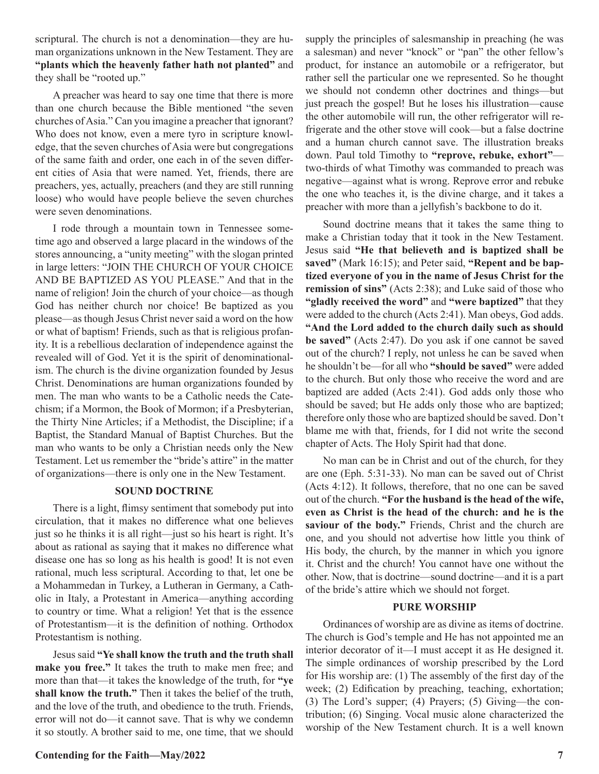scriptural. The church is not a denomination—they are human organizations unknown in the New Testament. They are **"plants which the heavenly father hath not planted"** and they shall be "rooted up."

A preacher was heard to say one time that there is more than one church because the Bible mentioned "the seven churches of Asia." Can you imagine a preacher that ignorant? Who does not know, even a mere tyro in scripture knowledge, that the seven churches of Asia were but congregations of the same faith and order, one each in of the seven different cities of Asia that were named. Yet, friends, there are preachers, yes, actually, preachers (and they are still running loose) who would have people believe the seven churches were seven denominations.

I rode through a mountain town in Tennessee sometime ago and observed a large placard in the windows of the stores announcing, a "unity meeting" with the slogan printed in large letters: "JOIN THE CHURCH OF YOUR CHOICE AND BE BAPTIZED AS YOU PLEASE." And that in the name of religion! Join the church of your choice—as though God has neither church nor choice! Be baptized as you please—as though Jesus Christ never said a word on the how or what of baptism! Friends, such as that is religious profanity. It is a rebellious declaration of independence against the revealed will of God. Yet it is the spirit of denominationalism. The church is the divine organization founded by Jesus Christ. Denominations are human organizations founded by men. The man who wants to be a Catholic needs the Catechism; if a Mormon, the Book of Mormon; if a Presbyterian, the Thirty Nine Articles; if a Methodist, the Discipline; if a Baptist, the Standard Manual of Baptist Churches. But the man who wants to be only a Christian needs only the New Testament. Let us remember the "bride's attire" in the matter of organizations—there is only one in the New Testament.

#### **SOUND DOCTRINE**

There is a light, flimsy sentiment that somebody put into circulation, that it makes no difference what one believes just so he thinks it is all right—just so his heart is right. It's about as rational as saying that it makes no difference what disease one has so long as his health is good! It is not even rational, much less scriptural. According to that, let one be a Mohammedan in Turkey, a Lutheran in Germany, a Catholic in Italy, a Protestant in America—anything according to country or time. What a religion! Yet that is the essence of Protestantism—it is the definition of nothing. Orthodox Protestantism is nothing.

Jesus said **"Ye shall know the truth and the truth shall make you free."** It takes the truth to make men free; and more than that—it takes the knowledge of the truth, for **"ye shall know the truth."** Then it takes the belief of the truth, and the love of the truth, and obedience to the truth. Friends, error will not do—it cannot save. That is why we condemn it so stoutly. A brother said to me, one time, that we should supply the principles of salesmanship in preaching (he was a salesman) and never "knock" or "pan" the other fellow's product, for instance an automobile or a refrigerator, but rather sell the particular one we represented. So he thought we should not condemn other doctrines and things—but just preach the gospel! But he loses his illustration—cause the other automobile will run, the other refrigerator will refrigerate and the other stove will cook—but a false doctrine and a human church cannot save. The illustration breaks down. Paul told Timothy to **"reprove, rebuke, exhort"** two-thirds of what Timothy was commanded to preach was negative—against what is wrong. Reprove error and rebuke the one who teaches it, is the divine charge, and it takes a preacher with more than a jellyfish's backbone to do it.

Sound doctrine means that it takes the same thing to make a Christian today that it took in the New Testament. Jesus said **"He that believeth and is baptized shall be saved"** (Mark 16:15); and Peter said, **"Repent and be baptized everyone of you in the name of Jesus Christ for the remission of sins"** (Acts 2:38); and Luke said of those who **"gladly received the word"** and **"were baptized"** that they were added to the church (Acts 2:41). Man obeys, God adds. **"And the Lord added to the church daily such as should be saved"** (Acts 2:47). Do you ask if one cannot be saved out of the church? I reply, not unless he can be saved when he shouldn't be—for all who **"should be saved"** were added to the church. But only those who receive the word and are baptized are added (Acts 2:41). God adds only those who should be saved; but He adds only those who are baptized; therefore only those who are baptized should be saved. Don't blame me with that, friends, for I did not write the second chapter of Acts. The Holy Spirit had that done.

No man can be in Christ and out of the church, for they are one (Eph. 5:31-33). No man can be saved out of Christ (Acts 4:12). It follows, therefore, that no one can be saved out of the church. **"For the husband is the head of the wife, even as Christ is the head of the church: and he is the saviour of the body."** Friends, Christ and the church are one, and you should not advertise how little you think of His body, the church, by the manner in which you ignore it. Christ and the church! You cannot have one without the other. Now, that is doctrine—sound doctrine—and it is a part of the bride's attire which we should not forget.

#### **PURE WORSHIP**

Ordinances of worship are as divine as items of doctrine. The church is God's temple and He has not appointed me an interior decorator of it—I must accept it as He designed it. The simple ordinances of worship prescribed by the Lord for His worship are: (1) The assembly of the first day of the week; (2) Edification by preaching, teaching, exhortation; (3) The Lord's supper; (4) Prayers; (5) Giving—the contribution; (6) Singing. Vocal music alone characterized the worship of the New Testament church. It is a well known